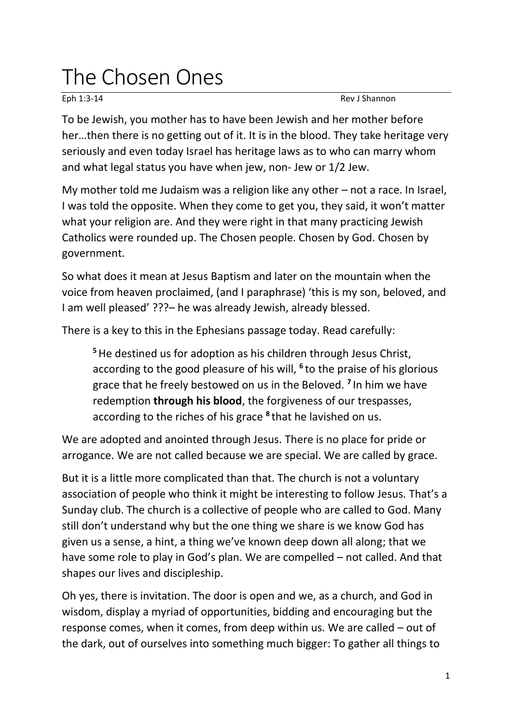## The Chosen Ones

Eph 1:3-14 Rev J Shannon

To be Jewish, you mother has to have been Jewish and her mother before her…then there is no getting out of it. It is in the blood. They take heritage very seriously and even today Israel has heritage laws as to who can marry whom and what legal status you have when jew, non- Jew or 1/2 Jew.

My mother told me Judaism was a religion like any other – not a race. In Israel, I was told the opposite. When they come to get you, they said, it won't matter what your religion are. And they were right in that many practicing Jewish Catholics were rounded up. The Chosen people. Chosen by God. Chosen by government.

So what does it mean at Jesus Baptism and later on the mountain when the voice from heaven proclaimed, (and I paraphrase) 'this is my son, beloved, and I am well pleased' ???– he was already Jewish, already blessed.

There is a key to this in the Ephesians passage today. Read carefully:

**<sup>5</sup>**He destined us for adoption as his children through Jesus Christ, according to the good pleasure of his will, **<sup>6</sup>** to the praise of his glorious grace that he freely bestowed on us in the Beloved. **<sup>7</sup>** In him we have redemption **through his blood**, the forgiveness of our trespasses, according to the riches of his grace **<sup>8</sup>** that he lavished on us.

We are adopted and anointed through Jesus. There is no place for pride or arrogance. We are not called because we are special. We are called by grace.

But it is a little more complicated than that. The church is not a voluntary association of people who think it might be interesting to follow Jesus. That's a Sunday club. The church is a collective of people who are called to God. Many still don't understand why but the one thing we share is we know God has given us a sense, a hint, a thing we've known deep down all along; that we have some role to play in God's plan. We are compelled – not called. And that shapes our lives and discipleship.

Oh yes, there is invitation. The door is open and we, as a church, and God in wisdom, display a myriad of opportunities, bidding and encouraging but the response comes, when it comes, from deep within us. We are called – out of the dark, out of ourselves into something much bigger: To gather all things to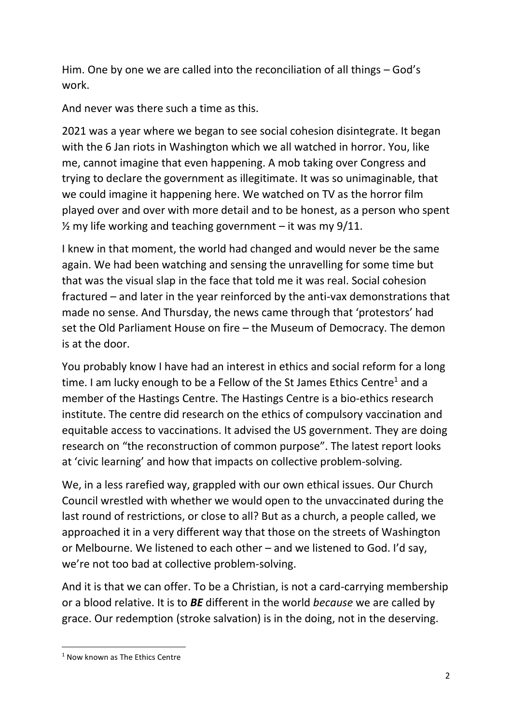Him. One by one we are called into the reconciliation of all things – God's work.

And never was there such a time as this.

2021 was a year where we began to see social cohesion disintegrate. It began with the 6 Jan riots in Washington which we all watched in horror. You, like me, cannot imagine that even happening. A mob taking over Congress and trying to declare the government as illegitimate. It was so unimaginable, that we could imagine it happening here. We watched on TV as the horror film played over and over with more detail and to be honest, as a person who spent  $\frac{1}{2}$  my life working and teaching government – it was my 9/11.

I knew in that moment, the world had changed and would never be the same again. We had been watching and sensing the unravelling for some time but that was the visual slap in the face that told me it was real. Social cohesion fractured – and later in the year reinforced by the anti-vax demonstrations that made no sense. And Thursday, the news came through that 'protestors' had set the Old Parliament House on fire – the Museum of Democracy. The demon is at the door.

You probably know I have had an interest in ethics and social reform for a long time. I am lucky enough to be a Fellow of the St James Ethics Centre<sup>1</sup> and a member of the Hastings Centre. The Hastings Centre is a bio-ethics research institute. The centre did research on the ethics of compulsory vaccination and equitable access to vaccinations. It advised the US government. They are doing research on "the reconstruction of common purpose". The latest report looks at 'civic learning' and how that impacts on collective problem-solving.

We, in a less rarefied way, grappled with our own ethical issues. Our Church Council wrestled with whether we would open to the unvaccinated during the last round of restrictions, or close to all? But as a church, a people called, we approached it in a very different way that those on the streets of Washington or Melbourne. We listened to each other – and we listened to God. I'd say, we're not too bad at collective problem-solving.

And it is that we can offer. To be a Christian, is not a card-carrying membership or a blood relative. It is to *BE* different in the world *because* we are called by grace. Our redemption (stroke salvation) is in the doing, not in the deserving.

<sup>&</sup>lt;sup>1</sup> Now known as The Ethics Centre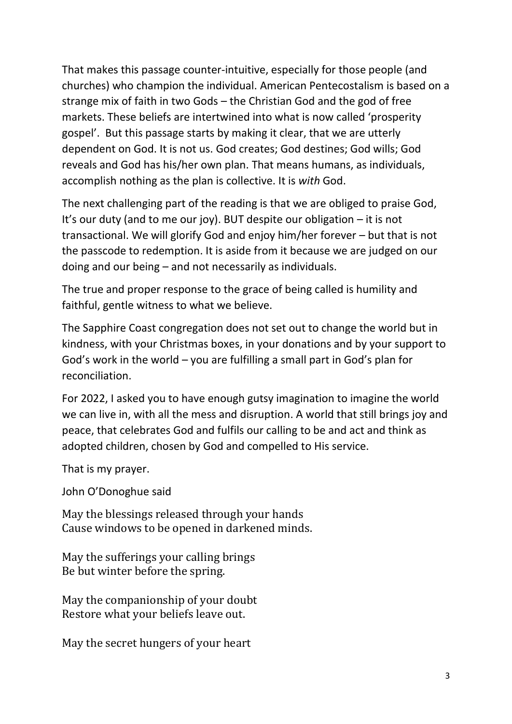That makes this passage counter-intuitive, especially for those people (and churches) who champion the individual. American Pentecostalism is based on a strange mix of faith in two Gods – the Christian God and the god of free markets. These beliefs are intertwined into what is now called 'prosperity gospel'. But this passage starts by making it clear, that we are utterly dependent on God. It is not us. God creates; God destines; God wills; God reveals and God has his/her own plan. That means humans, as individuals, accomplish nothing as the plan is collective. It is *with* God.

The next challenging part of the reading is that we are obliged to praise God, It's our duty (and to me our joy). BUT despite our obligation – it is not transactional. We will glorify God and enjoy him/her forever – but that is not the passcode to redemption. It is aside from it because we are judged on our doing and our being – and not necessarily as individuals.

The true and proper response to the grace of being called is humility and faithful, gentle witness to what we believe.

The Sapphire Coast congregation does not set out to change the world but in kindness, with your Christmas boxes, in your donations and by your support to God's work in the world – you are fulfilling a small part in God's plan for reconciliation.

For 2022, I asked you to have enough gutsy imagination to imagine the world we can live in, with all the mess and disruption. A world that still brings joy and peace, that celebrates God and fulfils our calling to be and act and think as adopted children, chosen by God and compelled to His service.

That is my prayer.

John O'Donoghue said

May the blessings released through your hands Cause windows to be opened in darkened minds.

May the sufferings your calling brings Be but winter before the spring.

May the companionship of your doubt Restore what your beliefs leave out.

May the secret hungers of your heart